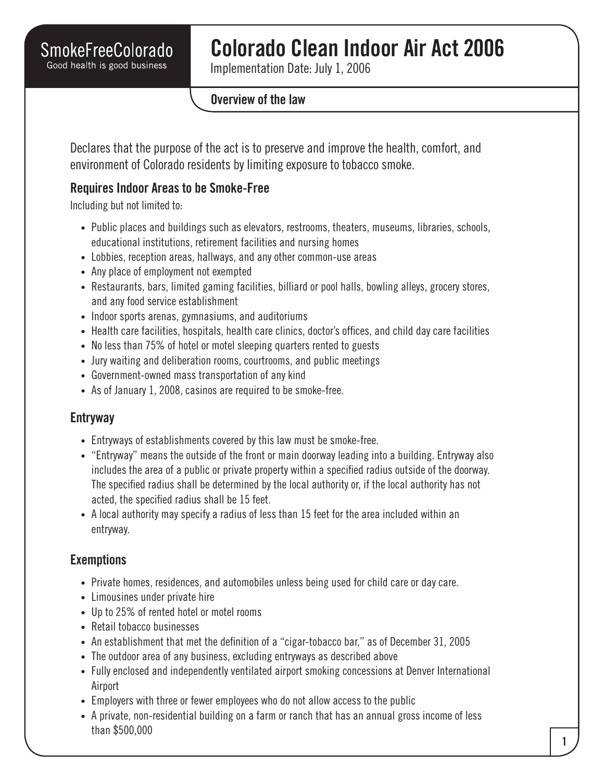# **Colorado Clean Indoor Air Act 2006**

Implementation Date: July 1, 2006

#### **Overview of the law**

Declares that the purpose of the act is to preserve and improve the health, comfort, and environment of Colorado residents by limiting exposure to tobacco smoke.

### **Requires Indoor Areas to be Smoke-Free**

Including but not limited to:

- Public places and buildings such as elevators, restrooms, theaters, museums, libraries, schools, educational institutions, retirement facilities and nursing homes
- Lobbies, reception areas, hallways, and any other common-use areas
- Any place of employment not exempted
- Restaurants, bars, limited gaming facilities, billiard or pool halls, bowling alleys, grocery stores, and any food service establishment
- Indoor sports arenas, gymnasiums, and auditoriums
- Health care facilities, hospitals, health care clinics, doctor's offices, and child day care facilities
- No less than 75% of hotel or motel sleeping quarters rented to guests
- Jury waiting and deliberation rooms, courtrooms, and public meetings
- Government-owned mass transportation of any kind
- As of January 1, 2008, casinos are required to be smoke-free.

#### **Entryway**

- Entryways of establishments covered by this law must be smoke-free.
- "Entryway" means the outside of the front or main doorway leading into a building. Entryway also includes the area of a public or private property within a specified radius outside of the doorway. The specified radius shall be determined by the local authority or, if the local authority has not acted, the specified radius shall be 15 feet.
- A local authority may specify a radius of less than 15 feet for the area included within an entryway.

## **Exemptions**

- Private homes, residences, and automobiles unless being used for child care or day care.
- Limousines under private hire
- Up to 25% of rented hotel or motel rooms
- Retail tobacco businesses
- An establishment that met the definition of a "cigar-tobacco bar," as of December 31, 2005
- The outdoor area of any business, excluding entryways as described above
- Fully enclosed and independently ventilated airport smoking concessions at Denver International Airport
- Employers with three or fewer employees who do not allow access to the public
- A private, non-residential building on a farm or ranch that has an annual gross income of less than \$500,000